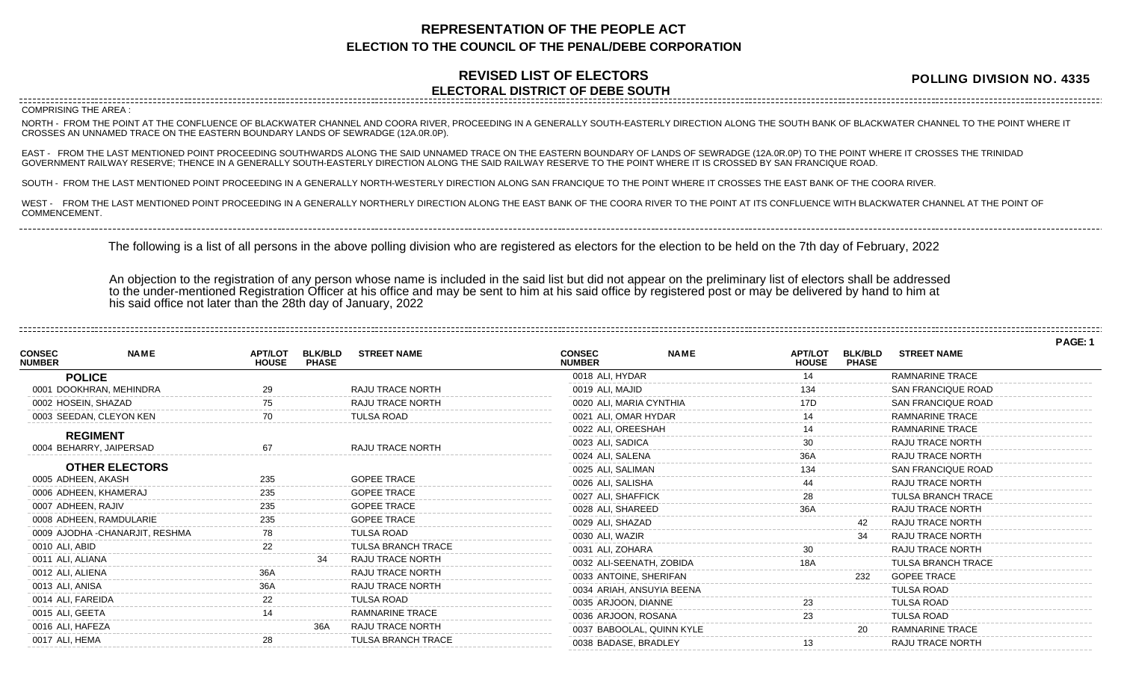## **REPRESENTATION OF THE PEOPLE ACT ELECTION TO THE COUNCIL OF THE PENAL/DEBE CORPORATION**

## **REVISED LIST OF ELECTORS ELECTORAL DISTRICT OF DEBE SOUTH**

**POLLING DIVISION NO. 4335**

COMPRISING THE AREA :

NORTH - FROM THE POINT AT THE CONFLUENCE OF BLACKWATER CHANNEL AND COORA RIVER, PROCEEDING IN A GENERALLY SOUTH-EASTERLY DIRECTION ALONG THE SOUTH BANK OF BLACKWATER CHANNEL TO THE POINT WHERE IT CROSSES AN UNNAMED TRACE ON THE EASTERN BOUNDARY LANDS OF SEWRADGE (12A.0R.0P).

EAST - FROM THE LAST MENTIONED POINT PROCEEDING SOUTHWARDS ALONG THE SAID UNNAMED TRACE ON THE EASTERN BOUNDARY OF LANDS OF SEWRADGE (12A.0R.0P) TO THE POINT WHERE IT CROSSES THE TRINIDAD GOVERNMENT RAILWAY RESERVE; THENCE IN A GENERALLY SOUTH-EASTERLY DIRECTION ALONG THE SAID RAILWAY RESERVE TO THE POINT WHERE IT IS CROSSED BY SAN FRANCIQUE ROAD.

SOUTH - FROM THE LAST MENTIONED POINT PROCEEDING IN A GENERALLY NORTH-WESTERLY DIRECTION ALONG SAN FRANCIQUE TO THE POINT WHERE IT CROSSES THE EAST BANK OF THE COORA RIVER.

WEST - FROM THE LAST MENTIONED POINT PROCEEDING IN A GENERALLY NORTHERLY DIRECTION ALONG THE EAST BANK OF THE COORA RIVER TO THE POINT AT ITS CONFLUENCE WITH BLACKWATER CHANNEL AT THE POINT OF COMMENCEMENT.

The following is a list of all persons in the above polling division who are registered as electors for the election to be held on the 7th day of February, 2022

An objection to the registration of any person whose name is included in the said list but did not appear on the preliminary list of electors shall be addressed to the under-mentioned Registration Officer at his office and may be sent to him at his said office by registered post or may be delivered by hand to him at his said office not later than the 28th day of January, 2022

|                                |                                 |                                |                                |                           |                                               |                                |                                |                           | PAGE: 1 |
|--------------------------------|---------------------------------|--------------------------------|--------------------------------|---------------------------|-----------------------------------------------|--------------------------------|--------------------------------|---------------------------|---------|
| <b>CONSEC</b><br><b>NUMBER</b> | <b>NAME</b>                     | <b>APT/LOT</b><br><b>HOUSE</b> | <b>BLK/BLD</b><br><b>PHASE</b> | <b>STREET NAME</b>        | <b>CONSEC</b><br><b>NAME</b><br><b>NUMBER</b> | <b>APT/LOT</b><br><b>HOUSE</b> | <b>BLK/BLD</b><br><b>PHASE</b> | <b>STREET NAME</b>        |         |
|                                | <b>POLICE</b>                   |                                |                                |                           | 0018 ALI, HYDAR                               |                                |                                | <b>RAMNARINE TRACE</b>    |         |
|                                | 0001 DOOKHRAN, MEHINDRA         |                                |                                | <b>RAJU TRACE NORTH</b>   | 0019 ALI, MAJID                               |                                |                                | SAN FRANCIQUE ROAD        |         |
|                                | 0002 HOSEIN, SHAZAD             |                                |                                | <b>RAJU TRACE NORTH</b>   | 0020 ALI, MARIA CYNTHIA                       |                                |                                | SAN FRANCIQUE ROAD        |         |
|                                | 0003 SEEDAN, CLEYON KEN         |                                |                                | <b>TULSA ROAD</b>         | 0021 ALI, OMAR HYDAR                          |                                |                                | RAMNARINE TRACE           |         |
|                                | <b>REGIMENT</b>                 |                                |                                |                           | 0022 ALI, OREESHAH                            |                                |                                | <b>RAMNARINE TRACE</b>    |         |
|                                | 0004 BEHARRY, JAIPERSAD         | 67                             |                                | RAJU TRACE NORTH          | 0023 ALI, SADICA                              |                                |                                | <b>RAJU TRACE NORTH</b>   |         |
|                                |                                 |                                |                                |                           | 0024 ALI, SALENA                              |                                |                                | RAJU TRACE NORTH          |         |
|                                | <b>OTHER ELECTORS</b>           |                                |                                |                           | 0025 ALI, SALIMAN                             |                                |                                | SAN FRANCIQUE ROAD        |         |
|                                | 0005 ADHEEN, AKASH              | 235                            |                                | <b>GOPEE TRACE</b>        | 0026 ALI, SALISHA                             |                                |                                | RAJU TRACE NORTH          |         |
|                                | 0006 ADHEEN, KHAMERAJ           | 235                            |                                | <b>GOPEE TRACE</b>        | 0027 ALI, SHAFFICK                            |                                |                                | <b>TULSA BRANCH TRACE</b> |         |
|                                | 0007 ADHEEN, RAJIV              | 235                            |                                | <b>GOPEE TRACE</b>        | 0028 ALI, SHAREED                             |                                |                                | RAJU TRACE NORTH          |         |
|                                | 0008 ADHEEN, RAMDULARIE         | 235                            |                                | <b>GOPEE TRACE</b>        | 0029 ALI, SHAZAD                              |                                | 42                             | <b>RAJU TRACE NORTH</b>   |         |
|                                | 0009 AJODHA - CHANARJIT, RESHMA |                                |                                | <b>TULSA ROAD</b>         | 0030 ALI, WAZIR                               |                                | 34                             | RAJU TRACE NORTH          |         |
| 0010 ALI, ABID                 |                                 |                                |                                | <b>TULSA BRANCH TRACE</b> | 0031 ALI, ZOHARA                              |                                |                                | <b>RAJU TRACE NORTH</b>   |         |
|                                | 0011 ALI, ALIANA                |                                |                                | RAJU TRACE NORTH          | 0032 ALI-SEENATH, ZOBIDA                      | <b>18A</b>                     |                                | TULSA BRANCH TRACE        |         |
|                                | 0012 ALI, ALIENA                |                                |                                | <b>RAJU TRACE NORTH</b>   | 0033 ANTOINE, SHERIFAN                        |                                | 232                            | <b>GOPEE TRACE</b>        |         |
|                                | 0013 ALI, ANISA                 |                                |                                | RAJU TRACE NORTH          | 0034 ARIAH, ANSUYIA BEENA                     |                                |                                | <b>TULSA ROAD</b>         |         |
|                                | 0014 ALI, FAREIDA               |                                |                                | <b>TULSA ROAD</b>         | 0035 ARJOON, DIANNE                           |                                |                                | <b>TULSA ROAD</b>         |         |
|                                | 0015 ALI. GEETA                 |                                |                                | <b>RAMNARINE TRACE</b>    | 0036 ARJOON, ROSANA                           |                                |                                | <b>TULSA ROAD</b>         |         |
|                                | 0016 ALI, HAFEZA                |                                | 36A                            | RAJU TRACE NORTH          | 0037 BABOOLAL, QUINN KYLE                     |                                |                                | <b>RAMNARINE TRACE</b>    |         |
|                                | 0017 ALI, HEMA                  |                                |                                | <b>TULSA BRANCH TRACE</b> | 0038 BADASE, BRADLEY                          |                                |                                | RAJU TRACE NORTH          |         |
|                                |                                 |                                |                                |                           |                                               |                                |                                |                           |         |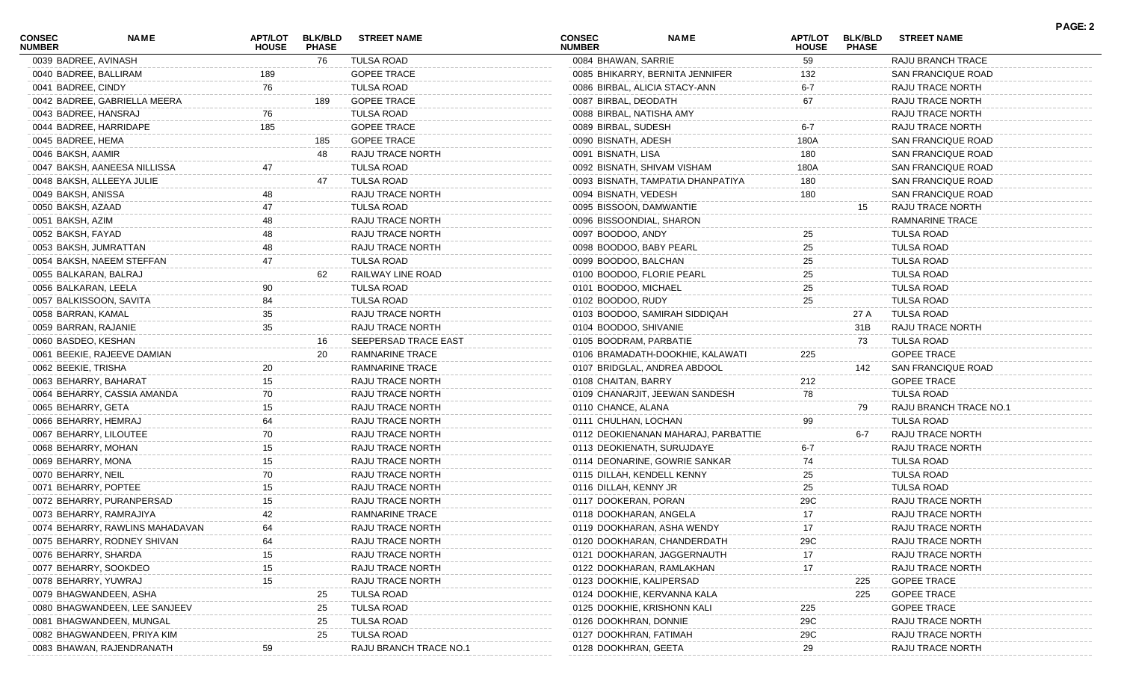| <b>CONSEC</b><br><b>NUMBER</b> | <b>NAME</b>                     | <b>HOUSE</b> | <b>PHASE</b> | APT/LOT BLK/BLD STREET NAME | <b>CONSEC</b><br><b>NUMBER</b> | <b>NAME</b>                         | <b>HOUSE</b> | APT/LOT BLK/BLD<br><b>PHASE</b> | <b>STREET NAME</b>      |  |
|--------------------------------|---------------------------------|--------------|--------------|-----------------------------|--------------------------------|-------------------------------------|--------------|---------------------------------|-------------------------|--|
|                                | 0039 BADREE, AVINASH            |              | 76           | <b>TULSA ROAD</b>           | 0084 BHAWAN, SARRIE            |                                     | 59           |                                 | RAJU BRANCH TRACE       |  |
|                                | 0040 BADREE, BALLIRAM           | 189          |              | <b>GOPEE TRACE</b>          |                                | 0085 BHIKARRY, BERNITA JENNIFER     | 132          |                                 | SAN FRANCIQUE ROAD      |  |
| 0041 BADREE, CINDY             |                                 | 76           |              | <b>TULSA ROAD</b>           |                                | 0086 BIRBAL, ALICIA STACY-ANN       | $6 - 7$      |                                 | <b>RAJU TRACE NORTH</b> |  |
|                                | 0042 BADREE, GABRIELLA MEERA    |              | 189          | <b>GOPEE TRACE</b>          | 0087 BIRBAL, DEODATH           |                                     | 67           |                                 | RAJU TRACE NORTH        |  |
|                                | 0043 BADREE, HANSRAJ            | 76           |              | <b>TULSA ROAD</b>           | 0088 BIRBAL, NATISHA AMY       |                                     |              |                                 | RAJU TRACE NORTH        |  |
|                                | 0044 BADREE, HARRIDAPE          | 185          |              | <b>GOPEE TRACE</b>          | 0089 BIRBAL, SUDESH            |                                     | $6 - 7$      |                                 | RAJU TRACE NORTH        |  |
| 0045 BADREE, HEMA              |                                 |              | 185          | <b>GOPEE TRACE</b>          | 0090 BISNATH, ADESH            |                                     | 180A         |                                 | SAN FRANCIQUE ROAD      |  |
| 0046 BAKSH, AAMIR              |                                 |              | 48           | RAJU TRACE NORTH            | 0091 BISNATH, LISA             |                                     | 180          |                                 | SAN FRANCIQUE ROAD      |  |
|                                | 0047 BAKSH, AANEESA NILLISSA    |              |              | <b>TULSA ROAD</b>           |                                | 0092 BISNATH, SHIVAM VISHAM         | 180A         |                                 | SAN FRANCIQUE ROAD      |  |
|                                | 0048 BAKSH, ALLEEYA JULIE       |              | 47           | TULSA ROAD                  |                                | 0093 BISNATH, TAMPATIA DHANPATIYA   | 180          |                                 | SAN FRANCIQUE ROAD      |  |
| 0049 BAKSH, ANISSA             |                                 | 48           |              | RAJU TRACE NORTH            | 0094 BISNATH, VEDESH           |                                     | 180          |                                 | SAN FRANCIQUE ROAD      |  |
| 0050 BAKSH, AZAAD              |                                 |              |              | <b>TULSA ROAD</b>           | 0095 BISSOON, DAMWANTIE        |                                     |              | 15                              | RAJU TRACE NORTH        |  |
| 0051 BAKSH, AZIM               |                                 |              |              | RAJU TRACE NORTH            |                                | 0096 BISSOONDIAL, SHARON            |              |                                 | RAMNARINE TRACE         |  |
| 0052 BAKSH, FAYAD              |                                 |              |              | RAJU TRACE NORTH            | 0097 BOODOO, ANDY              |                                     | 25           |                                 | <b>TULSA ROAD</b>       |  |
|                                | 0053 BAKSH, JUMRATTAN           | 48           |              | RAJU TRACE NORTH            | 0098 BOODOO, BABY PEARL        |                                     | 25           |                                 | <b>TULSA ROAD</b>       |  |
|                                | 0054 BAKSH, NAEEM STEFFAN       | 47           |              | <b>TULSA ROAD</b>           | 0099 BOODOO, BALCHAN           |                                     | 25           |                                 | <b>TULSA ROAD</b>       |  |
|                                | 0055 BALKARAN, BALRAJ           |              | 62           | RAILWAY LINE ROAD           |                                | 0100 BOODOO, FLORIE PEARL           | 25           |                                 | <b>TULSA ROAD</b>       |  |
|                                | 0056 BALKARAN, LEELA            | 90           |              | <b>TULSA ROAD</b>           | 0101 BOODOO, MICHAEL           |                                     | 25           |                                 | <b>TULSA ROAD</b>       |  |
|                                | 0057 BALKISSOON, SAVITA         | 84           |              | <b>TULSA ROAD</b>           | 0102 BOODOO, RUDY              |                                     | 25           |                                 | <b>TULSA ROAD</b>       |  |
| 0058 BARRAN, KAMAL             |                                 | 35           |              | RAJU TRACE NORTH            |                                | 0103 BOODOO, SAMIRAH SIDDIQAH       |              | 27 A                            | TULSA ROAD              |  |
| 0059 BARRAN, RAJANIE           |                                 | 35           |              | RAJU TRACE NORTH            | 0104 BOODOO, SHIVANIE          |                                     |              | 31B                             | RAJU TRACE NORTH        |  |
| 0060 BASDEO, KESHAN            |                                 |              | 16           | SEEPERSAD TRACE EAST        | 0105 BOODRAM, PARBATIE         |                                     |              | 73                              | <b>TULSA ROAD</b>       |  |
|                                | 0061 BEEKIE, RAJEEVE DAMIAN     |              | 20           | RAMNARINE TRACE             |                                | 0106 BRAMADATH-DOOKHIE, KALAWATI    | 225          |                                 | <b>GOPEE TRACE</b>      |  |
| 0062 BEEKIE, TRISHA            |                                 | 20           |              | RAMNARINE TRACE             |                                | 0107 BRIDGLAL, ANDREA ABDOOL        |              | 142                             | SAN FRANCIQUE ROAD      |  |
|                                | 0063 BEHARRY, BAHARAT           |              |              | RAJU TRACE NORTH            | 0108 CHAITAN, BARRY            |                                     | 212          |                                 | <b>GOPEE TRACE</b>      |  |
|                                | 0064 BEHARRY, CASSIA AMANDA     |              |              | RAJU TRACE NORTH            |                                | 0109 CHANARJIT, JEEWAN SANDESH      | 78           |                                 | <b>TULSA ROAD</b>       |  |
| 0065 BEHARRY, GETA             |                                 | 15           |              | RAJU TRACE NORTH            | 0110 CHANCE, ALANA             |                                     |              | 79                              | RAJU BRANCH TRACE NO.1  |  |
|                                | 0066 BEHARRY, HEMRAJ            | 64           |              | RAJU TRACE NORTH            | 0111 CHULHAN, LOCHAN           |                                     | 99           |                                 | <b>TULSA ROAD</b>       |  |
|                                | 0067 BEHARRY, LILOUTEE          | 70           |              | RAJU TRACE NORTH            |                                | 0112 DEOKIENANAN MAHARAJ, PARBATTIE |              | $6 - 7$                         | RAJU TRACE NORTH        |  |
|                                | 0068 BEHARRY, MOHAN             |              |              | RAJU TRACE NORTH            |                                | 0113 DEOKIENATH, SURUJDAYE          | $6 - 7$      |                                 | RAJU TRACE NORTH        |  |
| 0069 BEHARRY, MONA             |                                 |              |              | RAJU TRACE NORTH            |                                | 0114 DEONARINE, GOWRIE SANKAR       | 74           |                                 | <b>TULSA ROAD</b>       |  |
| 0070 BEHARRY, NEIL             |                                 |              |              | RAJU TRACE NORTH            |                                | 0115 DILLAH, KENDELL KENNY          | 25           |                                 | <b>TULSA ROAD</b>       |  |
|                                | 0071 BEHARRY, POPTEE            |              |              | RAJU TRACE NORTH            | 0116 DILLAH, KENNY JR          |                                     | 25           |                                 | <b>TULSA ROAD</b>       |  |
|                                | 0072 BEHARRY, PURANPERSAD       |              |              | RAJU TRACE NORTH            | 0117 DOOKERAN, PORAN           |                                     | 29C          |                                 | RAJU TRACE NORTH        |  |
|                                | 0073 BEHARRY, RAMRAJIYA         |              |              | RAMNARINE TRACE             | 0118 DOOKHARAN, ANGELA         |                                     | 17           |                                 | RAJU TRACE NORTH        |  |
|                                | 0074 BEHARRY, RAWLINS MAHADAVAN |              |              | RAJU TRACE NORTH            |                                | 0119 DOOKHARAN, ASHA WENDY          | 17           |                                 | RAJU TRACE NORTH        |  |
|                                | 0075 BEHARRY, RODNEY SHIVAN     |              |              | RAJU TRACE NORTH            |                                | 0120 DOOKHARAN, CHANDERDATH         | 29C          |                                 | RAJU TRACE NORTH        |  |
|                                | 0076 BEHARRY, SHARDA            |              |              | RAJU TRACE NORTH            |                                | 0121 DOOKHARAN, JAGGERNAUTH         | 17           |                                 | RAJU TRACE NORTH        |  |
|                                | 0077 BEHARRY, SOOKDEO           |              |              | RAJU TRACE NORTH            |                                | 0122 DOOKHARAN, RAMLAKHAN           | 17           |                                 | RAJU TRACE NORTH        |  |
|                                | 0078 BEHARRY, YUWRAJ            |              |              | RAJU TRACE NORTH            | 0123 DOOKHIE, KALIPERSAD       |                                     |              | 225                             | <b>GOPEE TRACE</b>      |  |
|                                | 0079 BHAGWANDEEN, ASHA          |              | 25           | TULSA ROAD                  |                                | 0124 DOOKHIE, KERVANNA KALA         |              | 225                             | <b>GOPEE TRACE</b>      |  |
|                                | 0080 BHAGWANDEEN, LEE SANJEEV   |              | 25           | <b>TULSA ROAD</b>           |                                | 0125 DOOKHIE, KRISHONN KALI         | 225          |                                 | <b>GOPEE TRACE</b>      |  |
|                                | 0081 BHAGWANDEEN, MUNGAL        |              | 25           | <b>TULSA ROAD</b>           | 0126 DOOKHRAN, DONNIE          |                                     | 29C          |                                 | RAJU TRACE NORTH        |  |
|                                | 0082 BHAGWANDEEN, PRIYA KIM     |              | 25           | TULSA ROAD                  | 0127 DOOKHRAN, FATIMAH         |                                     | 29C          |                                 | RAJU TRACE NORTH        |  |
|                                | 0083 BHAWAN, RAJENDRANATH       |              |              | RAJU BRANCH TRACE NO.1      | 0128 DOOKHRAN, GEETA           |                                     | 29           |                                 | RAJU TRACE NORTH        |  |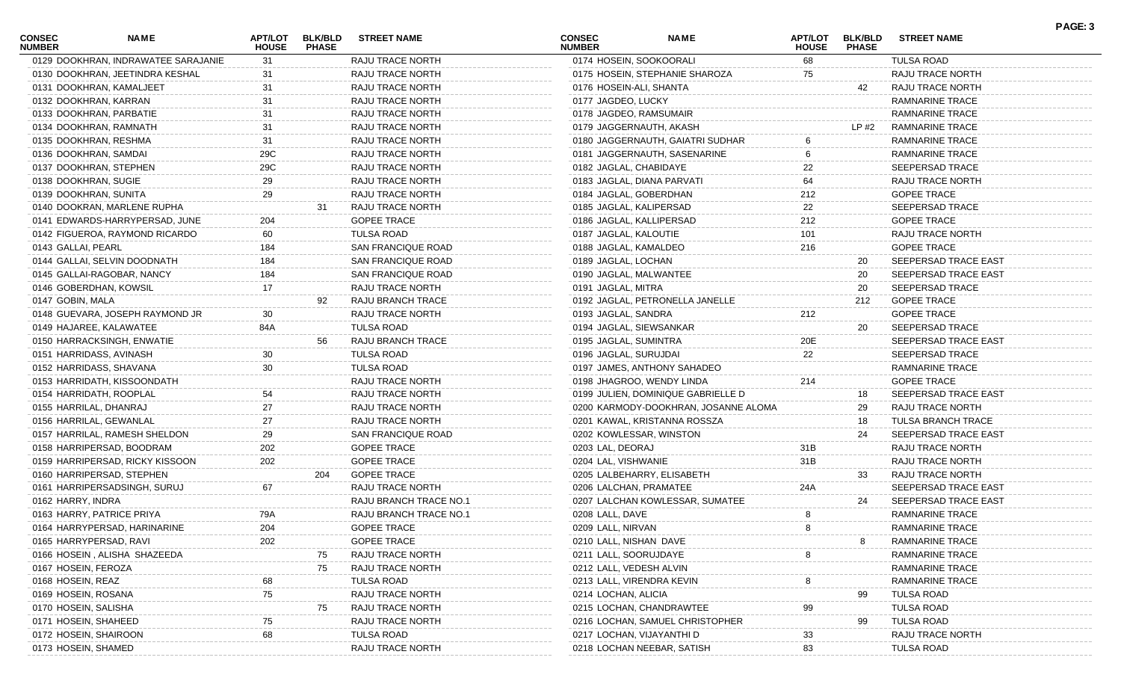| <b>CONSEC</b><br><b>NUMBER</b> | NAME                                | APT/LOT<br><b>HOUSE</b> | <b>BLK/BLD</b><br><b>PHASE</b> | <b>STREET NAME</b>      | <b>CONSEC</b><br><b>NUMBER</b> | <b>NAME</b>                          | APT/LOT<br><b>HOUSE</b> | <b>BLK/BLD</b><br><b>PHASE</b> | <b>STREET NAME</b>     | PAGE: 3 |
|--------------------------------|-------------------------------------|-------------------------|--------------------------------|-------------------------|--------------------------------|--------------------------------------|-------------------------|--------------------------------|------------------------|---------|
|                                | 0129 DOOKHRAN, INDRAWATEE SARAJANIE | 31                      |                                | RAJU TRACE NORTH        | 0174 HOSEIN, SOOKOORALI        |                                      | 68                      |                                | <b>TULSA ROAD</b>      |         |
|                                | 0130 DOOKHRAN, JEETINDRA KESHAL     | 31                      |                                | RAJU TRACE NORTH        |                                | 0175 HOSEIN, STEPHANIE SHAROZA       | 75                      |                                | RAJU TRACE NORTH       |         |
|                                | 0131 DOOKHRAN, KAMALJEET            | 31                      |                                | RAJU TRACE NORTH        | 0176 HOSEIN-ALI, SHANTA        |                                      |                         | 42                             | RAJU TRACE NORTH       |         |
|                                | 0132 DOOKHRAN, KARRAN               | 31                      |                                | RAJU TRACE NORTH        | 0177 JAGDEO, LUCKY             |                                      |                         |                                | RAMNARINE TRACE        |         |
|                                | 0133 DOOKHRAN, PARBATIE             | 31                      |                                | RAJU TRACE NORTH        | 0178 JAGDEO, RAMSUMAIR         |                                      |                         |                                | RAMNARINE TRACE        |         |
|                                | 0134 DOOKHRAN, RAMNATH              | 31                      |                                | RAJU TRACE NORTH        |                                | 0179 JAGGERNAUTH, AKASH              |                         | LP #2                          | RAMNARINE TRACE        |         |
|                                | 0135 DOOKHRAN, RESHMA               | 31                      |                                | RAJU TRACE NORTH        |                                | 0180 JAGGERNAUTH, GAIATRI SUDHAR     |                         |                                | RAMNARINE TRACE        |         |
| 0136 DOOKHRAN, SAMDAI          |                                     | 29C                     |                                | RAJU TRACE NORTH        |                                | 0181 JAGGERNAUTH, SASENARINE         |                         |                                | RAMNARINE TRACE        |         |
|                                | 0137 DOOKHRAN, STEPHEN              | 29C                     |                                | RAJU TRACE NORTH        | 0182 JAGLAL, CHABIDAYE         |                                      | 22                      |                                | <b>SEEPERSAD TRACE</b> |         |
| 0138 DOOKHRAN, SUGIE           |                                     | 29                      |                                | RAJU TRACE NORTH        |                                | 0183 JAGLAL, DIANA PARVATI           | 64                      |                                | RAJU TRACE NORTH       |         |
| 0139 DOOKHRAN, SUNITA          |                                     | 29                      |                                | RAJU TRACE NORTH        | 0184 JAGLAL, GOBERDHAN         |                                      | 212                     |                                | <b>GOPEE TRACE</b>     |         |
|                                | 0140 DOOKRAN, MARLENE RUPHA         |                         | 31                             | RAJU TRACE NORTH        | 0185 JAGLAL, KALIPERSAD        |                                      | 22                      |                                | SEEPERSAD TRACE        |         |
|                                | 0141 EDWARDS-HARRYPERSAD, JUNE      | 204                     |                                | <b>GOPEE TRACE</b>      | 0186 JAGLAL, KALLIPERSAD       |                                      | 212                     |                                | <b>GOPEE TRACE</b>     |         |
|                                | 0142 FIGUEROA, RAYMOND RICARDO      | 60                      |                                | <b>TULSA ROAD</b>       | 0187 JAGLAL, KALOUTIE          |                                      | 101                     |                                | RAJU TRACE NORTH       |         |
| 0143 GALLAI, PEARL             |                                     | 184                     |                                | SAN FRANCIQUE ROAD      | 0188 JAGLAL, KAMALDEO          |                                      | 216                     |                                | <b>GOPEE TRACE</b>     |         |
|                                | 0144 GALLAI, SELVIN DOODNATH        | 184                     |                                | SAN FRANCIQUE ROAD      | 0189 JAGLAL, LOCHAN            |                                      |                         | 20                             | SEEPERSAD TRACE EAST   |         |
|                                | 0145 GALLAI-RAGOBAR, NANCY          | 184                     |                                | SAN FRANCIQUE ROAD      | 0190 JAGLAL, MALWANTEE         |                                      |                         | 20                             | SEEPERSAD TRACE EAST   |         |
|                                | 0146 GOBERDHAN, KOWSIL              | 17                      |                                | RAJU TRACE NORTH        | 0191 JAGLAL, MITRA             |                                      |                         | 20                             | <b>SEEPERSAD TRACE</b> |         |
| 0147 GOBIN, MALA               |                                     |                         | 92                             | RAJU BRANCH TRACE       |                                | 0192 JAGLAL, PETRONELLA JANELLE      |                         | 212                            | <b>GOPEE TRACE</b>     |         |
|                                | 0148 GUEVARA, JOSEPH RAYMOND JR     | 30                      |                                | RAJU TRACE NORTH        | 0193 JAGLAL, SANDRA            |                                      | 212                     |                                | <b>GOPEE TRACE</b>     |         |
|                                | 0149 HAJAREE, KALAWATEE             | 84A                     |                                | TULSA ROAD              | 0194 JAGLAL, SIEWSANKAR        |                                      |                         | <b>20</b>                      | SEEPERSAD TRACE        |         |
|                                | 0150 HARRACKSINGH, ENWATIE          |                         | 56                             | RAJU BRANCH TRACE       | 0195 JAGLAL, SUMINTRA          |                                      | 20E                     |                                | SEEPERSAD TRACE EAST   |         |
|                                | 0151 HARRIDASS, AVINASH             | 30                      |                                | <b>TULSA ROAD</b>       | 0196 JAGLAL, SURUJDAI          |                                      | 22                      |                                | <b>SEEPERSAD TRACE</b> |         |
|                                | 0152 HARRIDASS, SHAVANA             | 30                      |                                | <b>TULSA ROAD</b>       |                                | 0197 JAMES, ANTHONY SAHADEO          |                         |                                | RAMNARINE TRACE        |         |
|                                | 0153 HARRIDATH, KISSOONDATH         |                         |                                | RAJU TRACE NORTH        |                                | 0198 JHAGROO, WENDY LINDA            | 214                     |                                | <b>GOPEE TRACE</b>     |         |
|                                | 0154 HARRIDATH, ROOPLAL             | 54                      |                                | RAJU TRACE NORTH        |                                | 0199 JULIEN, DOMINIQUE GABRIELLE D   |                         | 18                             | SEEPERSAD TRACE EAST   |         |
| 0155 HARRILAL, DHANRAJ         |                                     | 27                      |                                | RAJU TRACE NORTH        |                                | 0200 KARMODY-DOOKHRAN, JOSANNE ALOMA |                         | 29                             | RAJU TRACE NORTH       |         |
|                                | 0156 HARRILAL, GEWANLAL             | 27                      |                                | RAJU TRACE NORTH        |                                | 0201 KAWAL, KRISTANNA ROSSZA         |                         | 18                             | TULSA BRANCH TRACE     |         |
|                                | 0157 HARRILAL, RAMESH SHELDON       | 29                      |                                | SAN FRANCIQUE ROAD      |                                | 0202 KOWLESSAR, WINSTON              |                         | 24                             | SEEPERSAD TRACE EAST   |         |
|                                | 0158 HARRIPERSAD, BOODRAM           | 202                     |                                | <b>GOPEE TRACE</b>      | 0203 LAL, DEORAJ               |                                      | 31B                     |                                | RAJU TRACE NORTH       |         |
|                                | 0159 HARRIPERSAD, RICKY KISSOON     | 202                     |                                | <b>GOPEE TRACE</b>      | 0204 LAL, VISHWANIE            |                                      | 31B                     |                                | RAJU TRACE NORTH       |         |
|                                | 0160 HARRIPERSAD, STEPHEN           |                         | 204                            | <b>GOPEE TRACE</b>      |                                | 0205 LALBEHARRY, ELISABETH           |                         | 33                             | RAJU TRACE NORTH       |         |
|                                | 0161 HARRIPERSADSINGH, SURUJ        | 67                      |                                | RAJU TRACE NORTH        | 0206 LALCHAN, PRAMATEE         |                                      | 24A                     |                                | SEEPERSAD TRACE EAST   |         |
| 0162 HARRY, INDRA              |                                     |                         |                                | RAJU BRANCH TRACE NO.1  |                                | 0207 LALCHAN KOWLESSAR, SUMATEE      |                         | 24                             | SEEPERSAD TRACE EAST   |         |
|                                | 0163 HARRY, PATRICE PRIYA           | 79A                     |                                | RAJU BRANCH TRACE NO.1  | 0208 LALL, DAVE                |                                      |                         |                                | RAMNARINE TRACE        |         |
|                                | 0164 HARRYPERSAD, HARINARINE        | 204                     |                                | <b>GOPEE TRACE</b>      | 0209 LALL, NIRVAN              |                                      | 8                       |                                | RAMNARINE TRACE        |         |
| 0165 HARRYPERSAD, RAVI         |                                     | 202                     |                                | <b>GOPEE TRACE</b>      | 0210 LALL, NISHAN DAVE         |                                      |                         |                                | RAMNARINE TRACE        |         |
|                                | 0166 HOSEIN, ALISHA SHAZEEDA        |                         | 75                             | RAJU TRACE NORTH        | 0211 LALL, SOORUJDAYE          |                                      |                         |                                | RAMNARINE TRACE        |         |
| 0167 HOSEIN, FEROZA            |                                     |                         | 75                             | RAJU TRACE NORTH        | 0212 LALL, VEDESH ALVIN        |                                      |                         |                                | RAMNARINE TRACE        |         |
| 0168 HOSEIN, REAZ              |                                     | 68                      |                                | <b>TULSA ROAD</b>       | 0213 LALL, VIRENDRA KEVIN      |                                      |                         |                                | RAMNARINE TRACE        |         |
| 0169 HOSEIN, ROSANA            |                                     | 75                      |                                | RAJU TRACE NORTH        | 0214 LOCHAN, ALICIA            |                                      |                         | 99                             | TULSA ROAD             |         |
| 0170 HOSEIN, SALISHA           |                                     |                         | 75                             | RAJU TRACE NORTH        |                                | 0215 LOCHAN, CHANDRAWTEE             | 99                      |                                | <b>TULSA ROAD</b>      |         |
| 0171 HOSEIN, SHAHEED           |                                     | 75                      |                                | <b>RAJU TRACE NORTH</b> |                                | 0216 LOCHAN, SAMUEL CHRISTOPHER      |                         | 99                             | <b>TULSA ROAD</b>      |         |
| 0172 HOSEIN, SHAIROON          |                                     | 68                      |                                | <b>TULSA ROAD</b>       |                                | 0217 LOCHAN, VIJAYANTHI D            | 33                      |                                | RAJU TRACE NORTH       |         |
| 0173 HOSEIN, SHAMED            |                                     |                         |                                | RAJU TRACE NORTH        |                                | 0218 LOCHAN NEEBAR, SATISH           | 83                      |                                | TULSA ROAD             |         |
|                                |                                     |                         |                                |                         |                                |                                      |                         |                                |                        |         |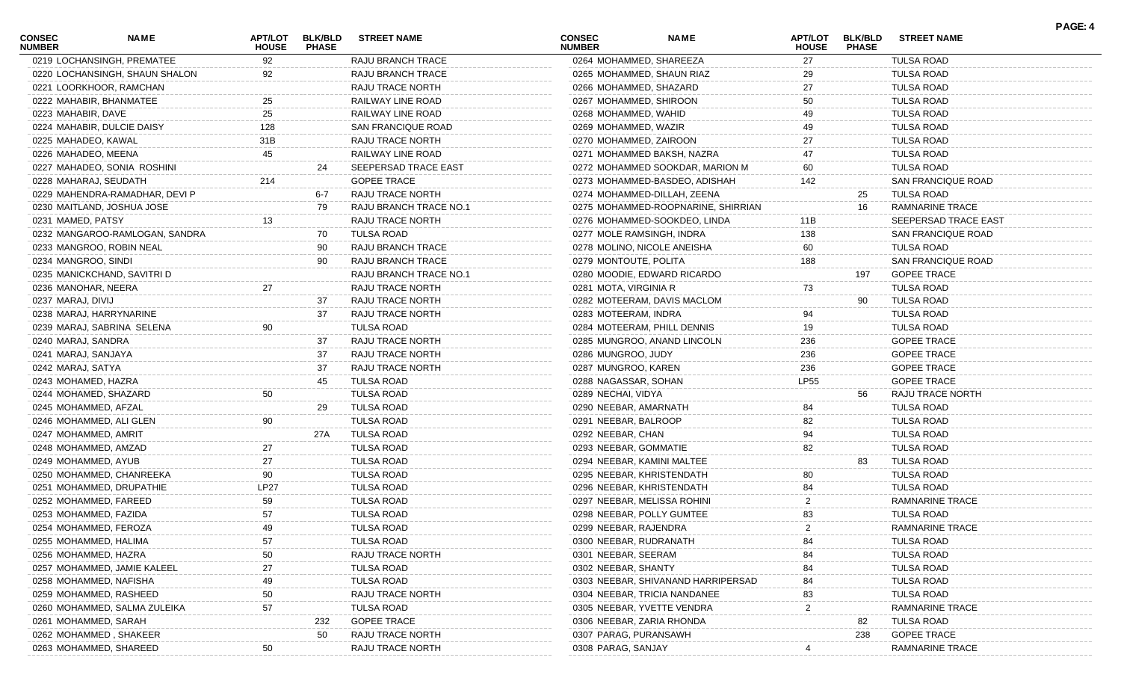| CONSEC<br><b>NUMBER</b> | NAME                           | <b>APT/LOT</b><br><b>HOUSE</b> | <b>BLK/BLD</b><br><b>PHASE</b> | <b>STREET NAME</b>      | <b>CONSEC</b><br><b>NUMBER</b> | <b>NAME</b>                        | <b>APT/LOT</b><br><b>HOUSE</b> | <b>BLK/BLD</b><br><b>PHASE</b> | <b>STREET NAME</b>                    | PAGE: 4 |
|-------------------------|--------------------------------|--------------------------------|--------------------------------|-------------------------|--------------------------------|------------------------------------|--------------------------------|--------------------------------|---------------------------------------|---------|
|                         | 0219 LOCHANSINGH, PREMATEE     | 92                             |                                | RAJU BRANCH TRACE       |                                | 0264 MOHAMMED, SHAREEZA            | 27                             |                                | <b>TULSA ROAD</b>                     |         |
|                         | 0220 LOCHANSINGH, SHAUN SHALON | 92                             |                                | RAJU BRANCH TRACE       |                                | 0265 MOHAMMED, SHAUN RIAZ          | 29                             |                                | <b>TULSA ROAD</b>                     |         |
|                         | 0221 LOORKHOOR, RAMCHAN        |                                |                                | RAJU TRACE NORTH        | 0266 MOHAMMED, SHAZARD         |                                    | 27                             |                                | TULSA ROAD                            |         |
|                         | 0222 MAHABIR, BHANMATEE        | 25                             |                                | RAILWAY LINE ROAD       | 0267 MOHAMMED, SHIROON         |                                    | 50                             |                                | <b>TULSA ROAD</b>                     |         |
| 0223 MAHABIR, DAVE      |                                | 25                             |                                | RAILWAY LINE ROAD       | 0268 MOHAMMED, WAHID           |                                    | 49                             |                                | <b>TULSA ROAD</b>                     |         |
|                         | 0224 MAHABIR, DULCIE DAISY     | 128                            |                                | SAN FRANCIQUE ROAD      | 0269 MOHAMMED, WAZIR           |                                    | 49                             |                                | <b>TULSA ROAD</b>                     |         |
| 0225 MAHADEO, KAWAL     |                                | 31B                            |                                | RAJU TRACE NORTH        | 0270 MOHAMMED, ZAIROON         |                                    | 27                             |                                | <b>TULSA ROAD</b>                     |         |
| 0226 MAHADEO, MEENA     |                                | 45                             |                                | RAILWAY LINE ROAD       |                                | 0271 MOHAMMED BAKSH, NAZRA         | 47                             |                                | <b>TULSA ROAD</b>                     |         |
|                         | 0227 MAHADEO, SONIA ROSHINI    |                                | 24                             | SEEPERSAD TRACE EAST    |                                | 0272 MOHAMMED SOOKDAR, MARION M    | 60                             |                                | TULSA ROAD                            |         |
| 0228 MAHARAJ, SEUDATH   |                                | 214                            |                                | <b>GOPEE TRACE</b>      |                                | 0273 MOHAMMED-BASDEO, ADISHAH      | 142                            |                                | <b>SAN FRANCIQUE ROAD</b>             |         |
|                         | 0229 MAHENDRA-RAMADHAR, DEVI P |                                | $6-7$                          | RAJU TRACE NORTH        |                                | 0274 MOHAMMED-DILLAH, ZEENA        |                                | 25                             | TULSA ROAD                            |         |
|                         | 0230 MAITLAND, JOSHUA JOSE     |                                | 79                             | RAJU BRANCH TRACE NO.1  |                                | 0275 MOHAMMED-ROOPNARINE, SHIRRIAN |                                | 16                             | RAMNARINE TRACE                       |         |
| 0231 MAMED, PATSY       |                                | 13                             |                                | RAJU TRACE NORTH        |                                | 0276 MOHAMMED-SOOKDEO, LINDA       | 11B                            |                                | SEEPERSAD TRACE EAST                  |         |
|                         | 0232 MANGAROO-RAMLOGAN, SANDRA |                                | 70                             | TULSA ROAD              |                                | 0277 MOLE RAMSINGH, INDRA          | 138                            |                                | SAN FRANCIQUE ROAD                    |         |
|                         | 0233 MANGROO, ROBIN NEAL       |                                | 90                             | RAJU BRANCH TRACE       |                                | 0278 MOLINO, NICOLE ANEISHA        | 60                             |                                | <b>TULSA ROAD</b>                     |         |
| 0234 MANGROO, SINDI     |                                |                                | 90                             | RAJU BRANCH TRACE       | 0279 MONTOUTE, POLITA          |                                    | 188                            |                                | SAN FRANCIQUE ROAD                    |         |
|                         | 0235 MANICKCHAND, SAVITRI D    |                                |                                | RAJU BRANCH TRACE NO.1  |                                | 0280 MOODIE, EDWARD RICARDO        |                                | 197                            | <b>GOPEE TRACE</b>                    |         |
| 0236 MANOHAR, NEERA     |                                | 27                             |                                | RAJU TRACE NORTH        | 0281 MOTA, VIRGINIA R          |                                    | 73                             |                                | <b>TULSA ROAD</b>                     |         |
| 0237 MARAJ, DIVIJ       |                                |                                | 37                             | RAJU TRACE NORTH        |                                | 0282 MOTEERAM, DAVIS MACLOM        |                                | 90                             | TULSA ROAD                            |         |
|                         | 0238 MARAJ, HARRYNARINE        |                                | 37                             | RAJU TRACE NORTH        | 0283 MOTEERAM, INDRA           |                                    | 94                             |                                | <b>TULSA ROAD</b>                     |         |
|                         | 0239 MARAJ, SABRINA SELENA     | 90                             |                                | <b>TULSA ROAD</b>       |                                | 0284 MOTEERAM, PHILL DENNIS        | 19                             |                                | TULSA ROAD                            |         |
| 0240 MARAJ, SANDRA      |                                |                                | 37                             | RAJU TRACE NORTH        |                                | 0285 MUNGROO, ANAND LINCOLN        | 236                            |                                | <b>GOPEE TRACE</b>                    |         |
| 0241 MARAJ, SANJAYA     |                                |                                | 37                             | RAJU TRACE NORTH        | 0286 MUNGROO, JUDY             |                                    | 236                            |                                | <b>GOPEE TRACE</b>                    |         |
| 0242 MARAJ, SATYA       |                                |                                | -37                            | RAJU TRACE NORTH        | 0287 MUNGROO, KAREN            |                                    | 236                            |                                | <b>GOPEE TRACE</b>                    |         |
| 0243 MOHAMED, HAZRA     |                                |                                | 45                             | TULSA ROAD              | 0288 NAGASSAR, SOHAN           |                                    | <b>LP55</b>                    |                                | <b>GOPEE TRACE</b>                    |         |
|                         |                                | 50                             |                                |                         |                                |                                    |                                | 56                             |                                       |         |
|                         | 0244 MOHAMED, SHAZARD          |                                |                                | TULSA ROAD              | 0289 NECHAI, VIDYA             |                                    |                                |                                | RAJU TRACE NORTH<br><b>TULSA ROAD</b> |         |
| 0245 MOHAMMED, AFZAL    |                                |                                | -29                            | TULSA ROAD              | 0290 NEEBAR, AMARNATH          |                                    | 84                             |                                |                                       |         |
|                         | 0246 MOHAMMED, ALI GLEN        | 90                             |                                | TULSA ROAD              | 0291 NEEBAR, BALROOP           |                                    | 82                             |                                | <b>TULSA ROAD</b>                     |         |
| 0247 MOHAMMED, AMRIT    |                                |                                | 27A                            | TULSA ROAD              | 0292 NEEBAR, CHAN              |                                    | 94                             |                                | <b>TULSA ROAD</b>                     |         |
| 0248 MOHAMMED, AMZAD    |                                | 27                             |                                | TULSA ROAD              | 0293 NEEBAR, GOMMATIE          |                                    | 82                             |                                | TULSA ROAD                            |         |
| 0249 MOHAMMED, AYUB     |                                | 27                             |                                | TULSA ROAD              |                                | 0294 NEEBAR, KAMINI MALTEE         |                                | 83                             | TULSA ROAD                            |         |
|                         | 0250 MOHAMMED, CHANREEKA       | 90                             |                                | TULSA ROAD              |                                | 0295 NEEBAR, KHRISTENDATH          | 80                             |                                | TULSA ROAD                            |         |
|                         | 0251 MOHAMMED, DRUPATHIE       | LP27                           |                                | TULSA ROAD              |                                | 0296 NEEBAR, KHRISTENDATH          | 84                             |                                | <b>TULSA ROAD</b>                     |         |
|                         | 0252 MOHAMMED, FAREED          | 59                             |                                | <b>TULSA ROAD</b>       |                                | 0297 NEEBAR, MELISSA ROHINI        |                                |                                | RAMNARINE TRACE                       |         |
| 0253 MOHAMMED, FAZIDA   |                                | 57                             |                                | <b>TULSA ROAD</b>       |                                | 0298 NEEBAR, POLLY GUMTEE          | 83                             |                                | <b>TULSA ROAD</b>                     |         |
|                         | 0254 MOHAMMED, FEROZA          | 49                             |                                | <b>TULSA ROAD</b>       | 0299 NEEBAR, RAJENDRA          |                                    | $\overline{\mathbf{c}}$        |                                | <b>RAMNARINE TRACE</b>                |         |
| 0255 MOHAMMED, HALIMA   |                                | 57                             |                                | <b>TULSA ROAD</b>       | 0300 NEEBAR, RUDRANATH         |                                    | 84                             |                                | <b>TULSA ROAD</b>                     |         |
| 0256 MOHAMMED, HAZRA    |                                | 50                             |                                | <b>RAJU TRACE NORTH</b> | 0301 NEEBAR, SEERAM            |                                    | 84                             |                                | <b>TULSA ROAD</b>                     |         |
|                         | 0257 MOHAMMED, JAMIE KALEEL    | 27                             |                                | TULSA ROAD              | 0302 NEEBAR, SHANTY            |                                    | 84                             |                                | <b>TULSA ROAD</b>                     |         |
|                         | 0258 MOHAMMED, NAFISHA         |                                |                                | <b>TULSA ROAD</b>       |                                | 0303 NEEBAR, SHIVANAND HARRIPERSAD | 84                             |                                | <b>TULSA ROAD</b>                     |         |
|                         | 0259 MOHAMMED, RASHEED         | 50                             |                                | <b>RAJU TRACE NORTH</b> |                                | 0304 NEEBAR, TRICIA NANDANEE       | 83                             |                                | <b>TULSA ROAD</b>                     |         |
|                         | 0260 MOHAMMED, SALMA ZULEIKA   | 57                             |                                | TULSA ROAD              |                                | 0305 NEEBAR, YVETTE VENDRA         | 2                              |                                | <b>RAMNARINE TRACE</b>                |         |
| 0261 MOHAMMED, SARAH    |                                |                                | 232                            | <b>GOPEE TRACE</b>      |                                | 0306 NEEBAR, ZARIA RHONDA          |                                | 82                             | <b>TULSA ROAD</b>                     |         |
|                         | 0262 MOHAMMED, SHAKEER         |                                | 50                             | RAJU TRACE NORTH        | 0307 PARAG, PURANSAWH          |                                    |                                | 238                            | <b>GOPEE TRACE</b>                    |         |
|                         | 0263 MOHAMMED, SHAREED         | 50                             |                                | RAJU TRACE NORTH        | 0308 PARAG, SANJAY             |                                    |                                |                                | <b>RAMNARINE TRACE</b>                |         |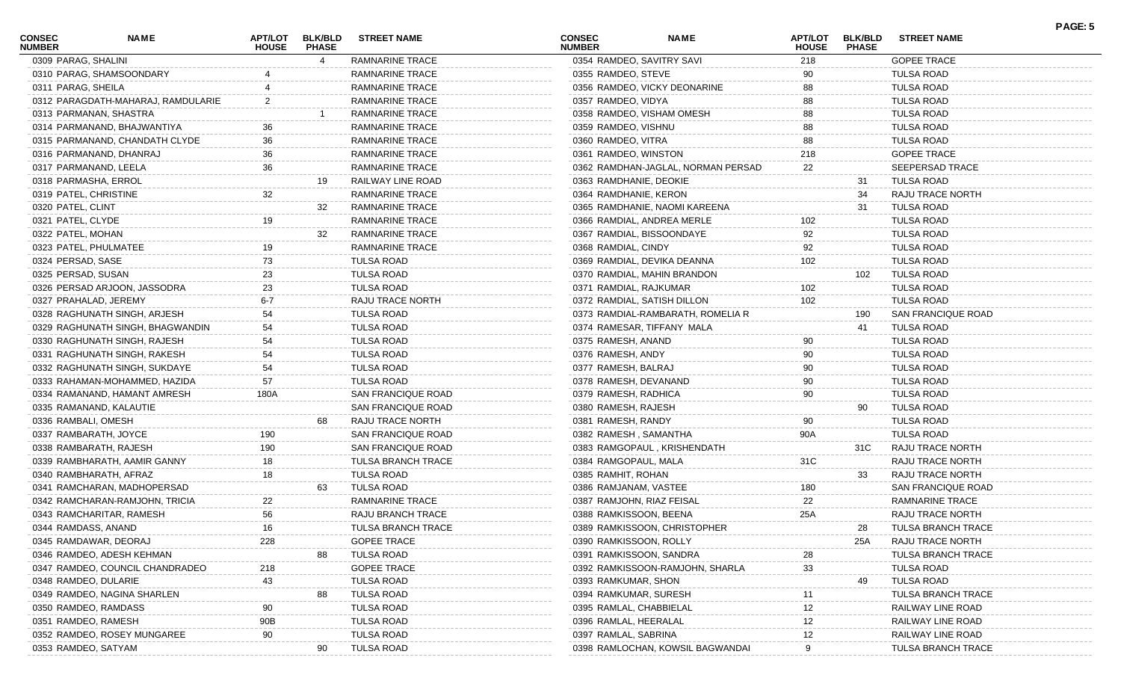| <b>CONSEC</b><br><b>NUMBER</b> | <b>NAME</b>                        | <b>APT/LOT</b><br><b>HOUSE</b> | <b>BLK/BLD</b><br><b>PHASE</b> | <b>STREET NAME</b>     | <b>CONSEC</b><br><b>NUMBER</b>               | <b>NAME</b>                        | APT/LOT<br><b>HOUSE</b> | <b>BLK/BLD</b><br><b>PHASE</b> | <b>STREET NAME</b>        | PAGE: 5 |
|--------------------------------|------------------------------------|--------------------------------|--------------------------------|------------------------|----------------------------------------------|------------------------------------|-------------------------|--------------------------------|---------------------------|---------|
| 0309 PARAG, SHALINI            |                                    |                                | 4                              | RAMNARINE TRACE        |                                              | 0354 RAMDEO, SAVITRY SAVI          | 218                     |                                | <b>GOPEE TRACE</b>        |         |
|                                | 0310 PARAG, SHAMSOONDARY           |                                |                                | RAMNARINE TRACE        | 0355 RAMDEO, STEVE                           |                                    | 90                      |                                | TULSA ROAD                |         |
| 0311 PARAG, SHEILA             |                                    |                                |                                | RAMNARINE TRACE        |                                              | 0356 RAMDEO, VICKY DEONARINE       | 88                      |                                | TULSA ROAD                |         |
|                                | 0312 PARAGDATH-MAHARAJ, RAMDULARIE |                                |                                | RAMNARINE TRACE        | 0357 RAMDEO, VIDYA                           |                                    | 88                      |                                | <b>TULSA ROAD</b>         |         |
|                                | 0313 PARMANAN, SHASTRA             |                                |                                | RAMNARINE TRACE        |                                              | 0358 RAMDEO, VISHAM OMESH          | 88                      |                                | <b>TULSA ROAD</b>         |         |
|                                | 0314 PARMANAND, BHAJWANTIYA        | 36                             |                                | RAMNARINE TRACE        | 0359 RAMDEO, VISHNU                          |                                    | 88                      |                                | <b>TULSA ROAD</b>         |         |
|                                | 0315 PARMANAND, CHANDATH CLYDE     | 36                             |                                | RAMNARINE TRACE        | 0360 RAMDEO, VITRA                           |                                    | 88                      |                                | TULSA ROAD                |         |
|                                | 0316 PARMANAND, DHANRAJ            | 36                             |                                | RAMNARINE TRACE        | 0361 RAMDEO, WINSTON                         |                                    | 218                     |                                | <b>GOPEE TRACE</b>        |         |
|                                | 0317 PARMANAND, LEELA              | 36                             |                                | <b>RAMNARINE TRACE</b> |                                              | 0362 RAMDHAN-JAGLAL, NORMAN PERSAD | 22                      |                                | SEEPERSAD TRACE           |         |
| 0318 PARMASHA, ERROL           |                                    |                                | 19                             | RAILWAY LINE ROAD      | 0363 RAMDHANIE, DEOKIE                       |                                    |                         | 31                             | <b>TULSA ROAD</b>         |         |
| 0319 PATEL, CHRISTINE          |                                    | 32                             |                                | RAMNARINE TRACE        | 0364 RAMDHANIE, KERON                        |                                    |                         | 34                             | RAJU TRACE NORTH          |         |
| 0320 PATEL, CLINT              |                                    |                                | 32                             | RAMNARINE TRACE        |                                              | 0365 RAMDHANIE, NAOMI KAREENA      |                         | 31                             | TULSA ROAD                |         |
| 0321 PATEL, CLYDE              |                                    | 19                             |                                | RAMNARINE TRACE        |                                              | 0366 RAMDIAL, ANDREA MERLE         | 102                     |                                | <b>TULSA ROAD</b>         |         |
| 0322 PATEL, MOHAN              |                                    |                                | 32                             | RAMNARINE TRACE        |                                              | 0367 RAMDIAL, BISSOONDAYE          | 92                      |                                | <b>TULSA ROAD</b>         |         |
|                                | 0323 PATEL, PHULMATEE              |                                |                                | RAMNARINE TRACE        | 0368 RAMDIAL, CINDY                          |                                    | 92                      |                                | <b>TULSA ROAD</b>         |         |
| 0324 PERSAD, SASE              |                                    | 73                             |                                | <b>TULSA ROAD</b>      |                                              | 0369 RAMDIAL, DEVIKA DEANNA        | 102                     |                                | <b>TULSA ROAD</b>         |         |
| 0325 PERSAD, SUSAN             |                                    | 23                             |                                | <b>TULSA ROAD</b>      |                                              | 0370 RAMDIAL, MAHIN BRANDON        |                         | 102                            | TULSA ROAD                |         |
|                                | 0326 PERSAD ARJOON, JASSODRA       | 23                             |                                | <b>TULSA ROAD</b>      | 0371 RAMDIAL, RAJKUMAR                       |                                    | 102                     |                                | TULSA ROAD                |         |
|                                | 0327 PRAHALAD, JEREMY              | 6-7                            |                                | RAJU TRACE NORTH       |                                              | 0372 RAMDIAL, SATISH DILLON        | 102                     |                                | <b>TULSA ROAD</b>         |         |
|                                | 0328 RAGHUNATH SINGH, ARJESH       | 54                             |                                | <b>TULSA ROAD</b>      |                                              | 0373 RAMDIAL-RAMBARATH, ROMELIA R  |                         | 190                            | <b>SAN FRANCIQUE ROAD</b> |         |
|                                | 0329 RAGHUNATH SINGH, BHAGWANDIN   | 54                             |                                | <b>TULSA ROAD</b>      |                                              | 0374 RAMESAR, TIFFANY MALA         |                         | 41                             | TULSA ROAD                |         |
|                                | 0330 RAGHUNATH SINGH, RAJESH       | 54                             |                                | TULSA ROAD             | 0375 RAMESH, ANAND                           |                                    | 90                      |                                | TULSA ROAD                |         |
|                                | 0331 RAGHUNATH SINGH, RAKESH       | 54                             |                                | <b>TULSA ROAD</b>      | 0376 RAMESH, ANDY                            |                                    | 90                      |                                | TULSA ROAD                |         |
|                                | 0332 RAGHUNATH SINGH, SUKDAYE      | 54                             |                                | <b>TULSA ROAD</b>      | 0377 RAMESH, BALRAJ                          |                                    | 90                      |                                | <b>TULSA ROAD</b>         |         |
|                                | 0333 RAHAMAN-MOHAMMED, HAZIDA      | 57                             |                                | <b>TULSA ROAD</b>      | 0378 RAMESH, DEVANAND                        |                                    | 90                      |                                | <b>TULSA ROAD</b>         |         |
|                                | 0334 RAMANAND, HAMANT AMRESH       | 180A                           |                                | SAN FRANCIQUE ROAD     | 0379 RAMESH, RADHICA                         |                                    | 90                      |                                | <b>TULSA ROAD</b>         |         |
|                                | 0335 RAMANAND, KALAUTIE            |                                |                                | SAN FRANCIQUE ROAD     | 0380 RAMESH, RAJESH                          |                                    |                         | 90                             | TULSA ROAD                |         |
| 0336 RAMBALI, OMESH            |                                    |                                | 68                             | RAJU TRACE NORTH       | 0381 RAMESH, RANDY                           |                                    | 90                      |                                | TULSA ROAD                |         |
|                                | 0337 RAMBARATH, JOYCE              | 190                            |                                | SAN FRANCIQUE ROAD     | 0382 RAMESH, SAMANTHA                        |                                    | 90A                     |                                | <b>TULSA ROAD</b>         |         |
|                                | 0338 RAMBARATH, RAJESH             | 190                            |                                | SAN FRANCIQUE ROAD     |                                              | 0383 RAMGOPAUL, KRISHENDATH        |                         | 31C                            | RAJU TRACE NORTH          |         |
|                                | 0339 RAMBHARATH, AAMIR GANNY       | 18                             |                                | TULSA BRANCH TRACE     | 0384 RAMGOPAUL, MALA                         |                                    | 31C                     |                                | RAJU TRACE NORTH          |         |
|                                | 0340 RAMBHARATH, AFRAZ             | 18                             |                                | TULSA ROAD             | 0385 RAMHIT, ROHAN                           |                                    |                         | 33                             | RAJU TRACE NORTH          |         |
|                                | 0341 RAMCHARAN, MADHOPERSAD        |                                | 63                             | TULSA ROAD             | 0386 RAMJANAM, VASTEE                        |                                    | 180                     |                                | SAN FRANCIQUE ROAD        |         |
|                                | 0342 RAMCHARAN-RAMJOHN, TRICIA     | 22                             |                                | RAMNARINE TRACE        | 0387 RAMJOHN, RIAZ FEISAL                    |                                    | 22                      |                                | RAMNARINE TRACE           |         |
|                                | 0343 RAMCHARITAR, RAMESH           | 56                             |                                | RAJU BRANCH TRACE      | 0388 RAMKISSOON, BEENA                       |                                    | 25A                     |                                | RAJU TRACE NORTH          |         |
| 0344 RAMDASS, ANAND            |                                    | 16                             |                                | TULSA BRANCH TRACE     |                                              | 0389 RAMKISSOON, CHRISTOPHER       |                         | 28                             | TULSA BRANCH TRACE        |         |
|                                | 0345 RAMDAWAR, DEORAJ              | 228                            |                                | <b>GOPEE TRACE</b>     | 0390 RAMKISSOON, ROLLY                       |                                    |                         | 25A                            | RAJU TRACE NORTH          |         |
|                                | 0346 RAMDEO, ADESH KEHMAN          |                                | 88                             | TULSA ROAD             | 0391 RAMKISSOON, SANDRA                      |                                    |                         |                                | <b>TULSA BRANCH TRACE</b> |         |
|                                | 0347 RAMDEO, COUNCIL CHANDRADEO    | 218                            |                                | <b>GOPEE TRACE</b>     |                                              | 0392 RAMKISSOON-RAMJOHN, SHARLA    | 28<br>$33\,$            |                                | <b>TULSA ROAD</b>         |         |
|                                |                                    |                                |                                |                        |                                              |                                    |                         |                                |                           |         |
| 0348 RAMDEO, DULARIE           | 0349 RAMDEO, NAGINA SHARLEN        | 43                             |                                | TULSA ROAD             | 0393 RAMKUMAR, SHON<br>0394 RAMKUMAR, SURESH |                                    |                         | 49                             | <b>TULSA ROAD</b>         |         |
|                                | 0350 RAMDEO, RAMDASS               |                                | 88                             | <b>TULSA ROAD</b>      |                                              |                                    |                         |                                | <b>TULSA BRANCH TRACE</b> |         |
| 0351 RAMDEO, RAMESH            |                                    | 90                             |                                | <b>TULSA ROAD</b>      | 0395 RAMLAL, CHABBIELAL                      |                                    | 12                      |                                | RAILWAY LINE ROAD         |         |
|                                |                                    | 90B                            |                                | <b>TULSA ROAD</b>      | 0396 RAMLAL, HEERALAL                        |                                    | 12                      |                                | RAILWAY LINE ROAD         |         |
|                                | 0352 RAMDEO, ROSEY MUNGAREE        | 90                             |                                | TULSA ROAD             | 0397 RAMLAL, SABRINA                         |                                    | 12                      |                                | RAILWAY LINE ROAD         |         |
| 0353 RAMDEO, SATYAM            |                                    |                                | 90                             | <b>TULSA ROAD</b>      |                                              | 0398 RAMLOCHAN, KOWSIL BAGWANDAI   |                         |                                | TULSA BRANCH TRACE        |         |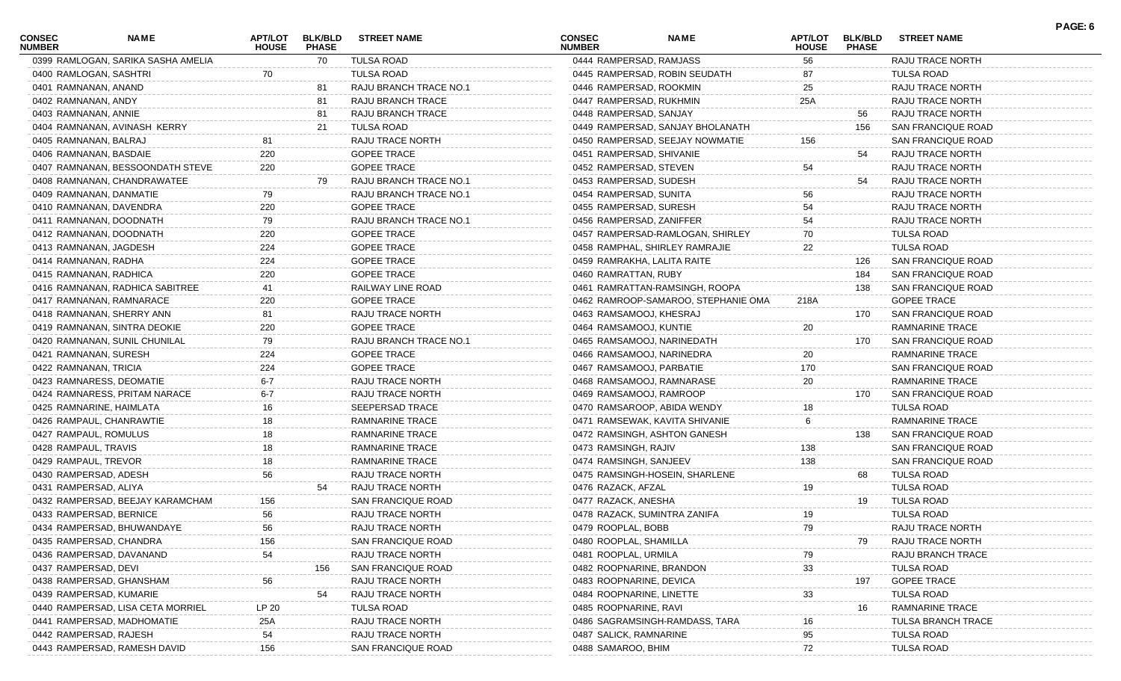| CONSEC<br><b>NUMBER</b> | NAME                               | <b>APT/LOT</b><br><b>HOUSE</b> | <b>BLK/BLD</b><br><b>PHASE</b> | <b>STREET NAME</b>     | <b>CONSEC</b><br><b>NUMBER</b>            | <b>NAME</b>                         | APT/LOT<br><b>HOUSE</b> | <b>BLK/BLD</b><br><b>PHASE</b> | <b>STREET NAME</b>                     | PAGE: 6 |
|-------------------------|------------------------------------|--------------------------------|--------------------------------|------------------------|-------------------------------------------|-------------------------------------|-------------------------|--------------------------------|----------------------------------------|---------|
|                         | 0399 RAMLOGAN, SARIKA SASHA AMELIA |                                | 70                             | <b>TULSA ROAD</b>      | 0444 RAMPERSAD, RAMJASS                   |                                     | 56                      |                                | RAJU TRACE NORTH                       |         |
|                         | 0400 RAMLOGAN, SASHTRI             | 70                             |                                | TULSA ROAD             |                                           | 0445 RAMPERSAD, ROBIN SEUDATH       | 87                      |                                | <b>TULSA ROAD</b>                      |         |
| 0401 RAMNANAN, ANAND    |                                    |                                | 81                             | RAJU BRANCH TRACE NO.1 | 0446 RAMPERSAD, ROOKMIN                   |                                     | 25                      |                                | <b>RAJU TRACE NORTH</b>                |         |
| 0402 RAMNANAN, ANDY     |                                    |                                | 81                             | RAJU BRANCH TRACE      | 0447 RAMPERSAD, RUKHMIN                   |                                     | 25A                     |                                | RAJU TRACE NORTH                       |         |
| 0403 RAMNANAN, ANNIE    |                                    |                                | 81                             | RAJU BRANCH TRACE      | 0448 RAMPERSAD, SANJAY                    |                                     |                         | 56                             | RAJU TRACE NORTH                       |         |
|                         | 0404 RAMNANAN, AVINASH KERRY       |                                | 21                             | <b>TULSA ROAD</b>      |                                           | 0449 RAMPERSAD, SANJAY BHOLANATH    |                         | 156                            | SAN FRANCIQUE ROAD                     |         |
|                         | 0405 RAMNANAN, BALRAJ              | 81                             |                                | RAJU TRACE NORTH       |                                           | 0450 RAMPERSAD, SEEJAY NOWMATIE     | 156                     |                                | SAN FRANCIQUE ROAD                     |         |
|                         | 0406 RAMNANAN, BASDAIE             | 220                            |                                | <b>GOPEE TRACE</b>     | 0451 RAMPERSAD, SHIVANIE                  |                                     |                         | 54                             | RAJU TRACE NORTH                       |         |
|                         | 0407 RAMNANAN, BESSOONDATH STEVE   | 220                            |                                | <b>GOPEE TRACE</b>     | 0452 RAMPERSAD, STEVEN                    |                                     | 54                      |                                | RAJU TRACE NORTH                       |         |
|                         | 0408 RAMNANAN, CHANDRAWATEE        |                                | 79                             | RAJU BRANCH TRACE NO.1 | 0453 RAMPERSAD, SUDESH                    |                                     |                         | 54                             | RAJU TRACE NORTH                       |         |
|                         | 0409 RAMNANAN, DANMATIE            | 79                             |                                | RAJU BRANCH TRACE NO.1 | 0454 RAMPERSAD, SUNITA                    |                                     | 56                      |                                | RAJU TRACE NORTH                       |         |
|                         | 0410 RAMNANAN, DAVENDRA            | 220                            |                                | <b>GOPEE TRACE</b>     | 0455 RAMPERSAD, SURESH                    |                                     | 54                      |                                | RAJU TRACE NORTH                       |         |
|                         | 0411 RAMNANAN, DOODNATH            | 79                             |                                | RAJU BRANCH TRACE NO.1 | 0456 RAMPERSAD, ZANIFFER                  |                                     | 54                      |                                | RAJU TRACE NORTH                       |         |
|                         | 0412 RAMNANAN, DOODNATH            | 220                            |                                | <b>GOPEE TRACE</b>     |                                           | 0457 RAMPERSAD-RAMLOGAN, SHIRLEY    | 70                      |                                | <b>TULSA ROAD</b>                      |         |
|                         | 0413 RAMNANAN, JAGDESH             | 224                            |                                | <b>GOPEE TRACE</b>     |                                           | 0458 RAMPHAL, SHIRLEY RAMRAJIE      | 22                      |                                | <b>TULSA ROAD</b>                      |         |
|                         | 0414 RAMNANAN, RADHA               | 224                            |                                | <b>GOPEE TRACE</b>     |                                           | 0459 RAMRAKHA, LALITA RAITE         |                         | 126                            | SAN FRANCIQUE ROAD                     |         |
|                         | 0415 RAMNANAN, RADHICA             | 220                            |                                | <b>GOPEE TRACE</b>     | 0460 RAMRATTAN, RUBY                      |                                     |                         | 184                            | SAN FRANCIQUE ROAD                     |         |
|                         | 0416 RAMNANAN, RADHICA SABITREE    | 41                             |                                | RAILWAY LINE ROAD      |                                           | 0461 RAMRATTAN-RAMSINGH, ROOPA      |                         | 138                            | SAN FRANCIQUE ROAD                     |         |
|                         | 0417 RAMNANAN, RAMNARACE           | 220                            |                                | <b>GOPEE TRACE</b>     |                                           | 0462 RAMROOP-SAMAROO, STEPHANIE OMA | 218A                    |                                | <b>GOPEE TRACE</b>                     |         |
|                         | 0418 RAMNANAN, SHERRY ANN          | 81                             |                                | RAJU TRACE NORTH       | 0463 RAMSAMOOJ, KHESRAJ                   |                                     |                         | 170                            | SAN FRANCIQUE ROAD                     |         |
|                         | 0419 RAMNANAN, SINTRA DEOKIE       | 220                            |                                | <b>GOPEE TRACE</b>     | 0464 RAMSAMOOJ, KUNTIE                    |                                     | 20                      |                                | RAMNARINE TRACE                        |         |
|                         | 0420 RAMNANAN, SUNIL CHUNILAL      | 79                             |                                | RAJU BRANCH TRACE NO.1 |                                           | 0465 RAMSAMOOJ, NARINEDATH          |                         | 170                            | <b>SAN FRANCIQUE ROAD</b>              |         |
|                         | 0421 RAMNANAN, SURESH              | 224                            |                                | <b>GOPEE TRACE</b>     |                                           | 0466 RAMSAMOOJ, NARINEDRA           | 20                      |                                | RAMNARINE TRACE                        |         |
| 0422 RAMNANAN, TRICIA   |                                    | 224                            |                                | <b>GOPEE TRACE</b>     | 0467 RAMSAMOOJ, PARBATIE                  |                                     | 170                     |                                | SAN FRANCIQUE ROAD                     |         |
|                         | 0423 RAMNARESS, DEOMATIE           | $6 - 7$                        |                                | RAJU TRACE NORTH       |                                           | 0468 RAMSAMOOJ, RAMNARASE           | 20                      |                                | RAMNARINE TRACE                        |         |
|                         | 0424 RAMNARESS, PRITAM NARACE      | $6-7$                          |                                | RAJU TRACE NORTH       | 0469 RAMSAMOOJ, RAMROOP                   |                                     |                         | 170                            | SAN FRANCIQUE ROAD                     |         |
|                         | 0425 RAMNARINE, HAIMLATA           | 16                             |                                | SEEPERSAD TRACE        |                                           | 0470 RAMSAROOP, ABIDA WENDY         | 18                      |                                | <b>TULSA ROAD</b>                      |         |
|                         | 0426 RAMPAUL, CHANRAWTIE           | 18                             |                                | RAMNARINE TRACE        |                                           | 0471 RAMSEWAK, KAVITA SHIVANIE      | 6                       |                                | RAMNARINE TRACE                        |         |
|                         | 0427 RAMPAUL, ROMULUS              | 18                             |                                | RAMNARINE TRACE        |                                           | 0472 RAMSINGH, ASHTON GANESH        |                         | 138                            | SAN FRANCIQUE ROAD                     |         |
| 0428 RAMPAUL, TRAVIS    |                                    | 18                             |                                | RAMNARINE TRACE        | 0473 RAMSINGH, RAJIV                      |                                     | 138                     |                                | SAN FRANCIQUE ROAD                     |         |
| 0429 RAMPAUL, TREVOR    |                                    | 18                             |                                | RAMNARINE TRACE        | 0474 RAMSINGH, SANJEEV                    |                                     | 138                     |                                | SAN FRANCIQUE ROAD                     |         |
|                         |                                    | 56                             |                                | RAJU TRACE NORTH       |                                           | 0475 RAMSINGH-HOSEIN, SHARLENE      |                         |                                | <b>TULSA ROAD</b>                      |         |
|                         | 0430 RAMPERSAD, ADESH              |                                | 54                             |                        |                                           |                                     | 19                      | 68                             |                                        |         |
| 0431 RAMPERSAD, ALIYA   |                                    |                                |                                | RAJU TRACE NORTH       | 0476 RAZACK, AFZAL<br>0477 RAZACK, ANESHA |                                     |                         |                                | <b>TULSA ROAD</b><br><b>TULSA ROAD</b> |         |
|                         | 0432 RAMPERSAD, BEEJAY KARAMCHAM   | 156<br>56                      |                                | SAN FRANCIQUE ROAD     |                                           |                                     |                         | 19                             |                                        |         |
|                         | 0433 RAMPERSAD, BERNICE            |                                |                                | RAJU TRACE NORTH       | 0479 ROOPLAL, BOBB                        | 0478 RAZACK, SUMINTRA ZANIFA        | 19                      |                                | TULSA ROAD                             |         |
|                         | 0434 RAMPERSAD, BHUWANDAYE         | 56                             |                                | RAJU TRACE NORTH       |                                           |                                     | 79                      |                                | RAJU TRACE NORTH                       |         |
|                         | 0435 RAMPERSAD, CHANDRA            | 156                            |                                | SAN FRANCIQUE ROAD     | 0480 ROOPLAL, SHAMILLA                    |                                     |                         | 79                             | RAJU TRACE NORTH                       |         |
|                         | 0436 RAMPERSAD, DAVANAND           | 54                             |                                | RAJU TRACE NORTH       | 0481 ROOPLAL, URMILA                      |                                     | 79                      |                                | RAJU BRANCH TRACE                      |         |
| 0437 RAMPERSAD, DEVI    |                                    |                                | 156                            | SAN FRANCIQUE ROAD     | 0482 ROOPNARINE, BRANDON                  |                                     | 33                      |                                | <b>TULSA ROAD</b>                      |         |
|                         | 0438 RAMPERSAD, GHANSHAM           | 56                             |                                | RAJU TRACE NORTH       | 0483 ROOPNARINE, DEVICA                   |                                     |                         | 197                            | <b>GOPEE TRACE</b>                     |         |
|                         | 0439 RAMPERSAD, KUMARIE            |                                | 54                             | RAJU TRACE NORTH       | 0484 ROOPNARINE, LINETTE                  |                                     | 33                      |                                | <b>TULSA ROAD</b>                      |         |
|                         | 0440 RAMPERSAD, LISA CETA MORRIEL  | LP 20                          |                                | <b>TULSA ROAD</b>      | 0485 ROOPNARINE, RAVI                     |                                     |                         | 16                             | <b>RAMNARINE TRACE</b>                 |         |
|                         | 0441 RAMPERSAD, MADHOMATIE         | 25A                            |                                | RAJU TRACE NORTH       |                                           | 0486 SAGRAMSINGH-RAMDASS, TARA      | 16                      |                                | <b>TULSA BRANCH TRACE</b>              |         |
|                         | 0442 RAMPERSAD, RAJESH             | 54                             |                                | RAJU TRACE NORTH       | 0487 SALICK, RAMNARINE                    |                                     | 95                      |                                | TULSA ROAD                             |         |
|                         | 0443 RAMPERSAD, RAMESH DAVID       | 156                            |                                | SAN FRANCIQUE ROAD     | 0488 SAMAROO, BHIM                        |                                     | 72                      |                                | <b>TULSA ROAD</b>                      |         |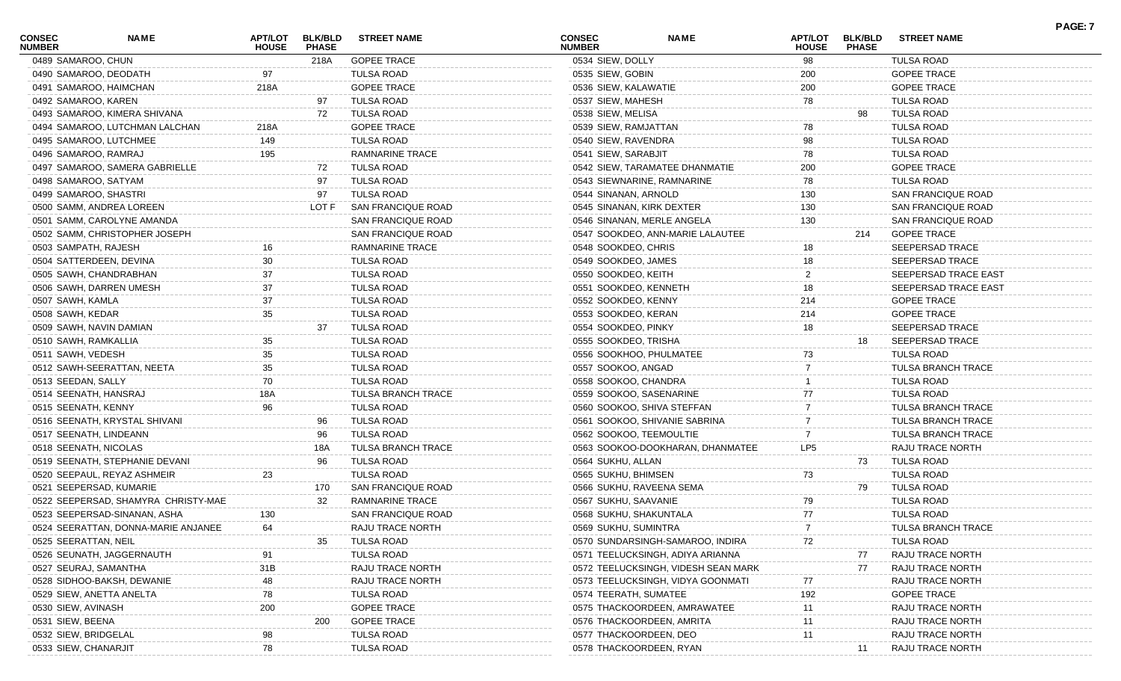| <b>CONSEC</b><br><b>NUMBER</b> | <b>NAME</b>                                                   | <b>APT/LOT</b><br><b>HOUSE</b> | <b>BLK/BLD</b><br><b>PHASE</b> | <b>STREET NAME</b>        | <b>CONSEC</b><br><b>NUMBER</b> | <b>NAME</b>                         | APT/LOT<br><b>HOUSE</b> | <b>BLK/BLD</b><br><b>PHASE</b> | <b>STREET NAME</b>        | <b>PAGE: 7</b> |
|--------------------------------|---------------------------------------------------------------|--------------------------------|--------------------------------|---------------------------|--------------------------------|-------------------------------------|-------------------------|--------------------------------|---------------------------|----------------|
| 0489 SAMAROO, CHUN             |                                                               |                                | 218A                           | <b>GOPEE TRACE</b>        | 0534 SIEW, DOLLY               |                                     | 98                      |                                | <b>TULSA ROAD</b>         |                |
|                                | 0490 SAMAROO, DEODATH                                         | 97                             |                                | TULSA ROAD                | 0535 SIEW, GOBIN               |                                     | 200                     |                                | <b>GOPEE TRACE</b>        |                |
|                                | 0491 SAMAROO, HAIMCHAN                                        | 218A                           |                                | <b>GOPEE TRACE</b>        | 0536 SIEW, KALAWATIE           |                                     | 200                     |                                | <b>GOPEE TRACE</b>        |                |
| 0492 SAMAROO, KAREN            |                                                               |                                | 97                             | <b>TULSA ROAD</b>         | 0537 SIEW, MAHESH              |                                     | 78                      |                                | <b>TULSA ROAD</b>         |                |
|                                | 0493 SAMAROO, KIMERA SHIVANA                                  |                                | 72                             | <b>TULSA ROAD</b>         | 0538 SIEW, MELISA              |                                     |                         | 98                             | <b>TULSA ROAD</b>         |                |
|                                | 0494 SAMAROO, LUTCHMAN LALCHAN                                | 218A                           |                                | <b>GOPEE TRACE</b>        | 0539 SIEW, RAMJATTAN           |                                     | 78                      |                                | <b>TULSA ROAD</b>         |                |
|                                | 0495 SAMAROO, LUTCHMEE                                        | 149                            |                                | <b>TULSA ROAD</b>         | 0540 SIEW, RAVENDRA            |                                     | 98                      |                                | TULSA ROAD                |                |
| 0496 SAMAROO, RAMRAJ           |                                                               | 195                            |                                | RAMNARINE TRACE           | 0541 SIEW, SARABJIT            |                                     | 78                      |                                | TULSA ROAD                |                |
|                                | 0497 SAMAROO, SAMERA GABRIELLE                                |                                | 72                             | <b>TULSA ROAD</b>         |                                | 0542 SIEW, TARAMATEE DHANMATIE      | 200                     |                                | <b>GOPEE TRACE</b>        |                |
| 0498 SAMAROO, SATYAM           |                                                               |                                | 97                             | <b>TULSA ROAD</b>         |                                | 0543 SIEWNARINE, RAMNARINE          | 78                      |                                | <b>TULSA ROAD</b>         |                |
| 0499 SAMAROO, SHASTRI          |                                                               |                                | 97                             | TULSA ROAD                | 0544 SINANAN, ARNOLD           |                                     | 130                     |                                | SAN FRANCIQUE ROAD        |                |
|                                | 0500 SAMM, ANDREA LOREEN                                      |                                | LOT F                          | SAN FRANCIQUE ROAD        | 0545 SINANAN, KIRK DEXTER      |                                     | 130                     |                                | SAN FRANCIQUE ROAD        |                |
|                                | 0501 SAMM, CAROLYNE AMANDA                                    |                                |                                | SAN FRANCIQUE ROAD        |                                | 0546 SINANAN, MERLE ANGELA          | 130                     |                                | SAN FRANCIQUE ROAD        |                |
|                                | 0502 SAMM, CHRISTOPHER JOSEPH                                 |                                |                                | SAN FRANCIQUE ROAD        |                                | 0547 SOOKDEO, ANN-MARIE LALAUTEE    |                         | 214                            | <b>GOPEE TRACE</b>        |                |
| 0503 SAMPATH, RAJESH           |                                                               |                                |                                | RAMNARINE TRACE           | 0548 SOOKDEO, CHRIS            |                                     | 18                      |                                | SEEPERSAD TRACE           |                |
|                                | 0504 SATTERDEEN, DEVINA                                       | 30                             |                                | <b>TULSA ROAD</b>         | 0549 SOOKDEO, JAMES            |                                     | 18                      |                                | SEEPERSAD TRACE           |                |
|                                | 0505 SAWH, CHANDRABHAN                                        | 37                             |                                | <b>TULSA ROAD</b>         | 0550 SOOKDEO, KEITH            |                                     | 2                       |                                | SEEPERSAD TRACE EAST      |                |
|                                | 0506 SAWH, DARREN UMESH                                       | 37                             |                                | <b>TULSA ROAD</b>         | 0551 SOOKDEO, KENNETH          |                                     | 18                      |                                | SEEPERSAD TRACE EAST      |                |
| 0507 SAWH, KAMLA               |                                                               | 37                             |                                | <b>TULSA ROAD</b>         | 0552 SOOKDEO, KENNY            |                                     | 214                     |                                | <b>GOPEE TRACE</b>        |                |
| 0508 SAWH, KEDAR               |                                                               | 35                             |                                | <b>TULSA ROAD</b>         | 0553 SOOKDEO, KERAN            |                                     | 214                     |                                | <b>GOPEE TRACE</b>        |                |
|                                | 0509 SAWH, NAVIN DAMIAN                                       |                                | 37                             | <b>TULSA ROAD</b>         | 0554 SOOKDEO, PINKY            |                                     | 18                      |                                | SEEPERSAD TRACE           |                |
| 0510 SAWH, RAMKALLIA           |                                                               | 35                             |                                | <b>TULSA ROAD</b>         | 0555 SOOKDEO, TRISHA           |                                     |                         | 18                             | SEEPERSAD TRACE           |                |
| 0511 SAWH, VEDESH              |                                                               | 35                             |                                | <b>TULSA ROAD</b>         | 0556 SOOKHOO, PHULMATEE        |                                     | 73                      |                                | <b>TULSA ROAD</b>         |                |
|                                | 0512 SAWH-SEERATTAN, NEETA                                    | 35                             |                                | <b>TULSA ROAD</b>         | 0557 SOOKOO, ANGAD             |                                     |                         |                                | <b>TULSA BRANCH TRACE</b> |                |
| 0513 SEEDAN, SALLY             |                                                               | 70                             |                                | <b>TULSA ROAD</b>         | 0558 SOOKOO, CHANDRA           |                                     |                         |                                | <b>TULSA ROAD</b>         |                |
| 0514 SEENATH, HANSRAJ          |                                                               | 18A                            |                                | TULSA BRANCH TRACE        | 0559 SOOKOO, SASENARINE        |                                     |                         |                                | TULSA ROAD                |                |
| 0515 SEENATH, KENNY            |                                                               | 96                             |                                | <b>TULSA ROAD</b>         |                                | 0560 SOOKOO, SHIVA STEFFAN          |                         |                                | <b>TULSA BRANCH TRACE</b> |                |
|                                | 0516 SEENATH, KRYSTAL SHIVANI                                 |                                | 96                             | <b>TULSA ROAD</b>         |                                | 0561 SOOKOO, SHIVANIE SABRINA       |                         |                                | TULSA BRANCH TRACE        |                |
| 0517 SEENATH, LINDEANN         |                                                               |                                | 96                             | <b>TULSA ROAD</b>         | 0562 SOOKOO, TEEMOULTIE        |                                     |                         |                                | <b>TULSA BRANCH TRACE</b> |                |
| 0518 SEENATH, NICOLAS          |                                                               |                                | 18A                            | <b>TULSA BRANCH TRACE</b> |                                | 0563 SOOKOO-DOOKHARAN, DHANMATEE    | LP5                     |                                | RAJU TRACE NORTH          |                |
|                                |                                                               |                                |                                | <b>TULSA ROAD</b>         |                                |                                     |                         |                                |                           |                |
|                                | 0519 SEENATH, STEPHANIE DEVANI<br>0520 SEEPAUL, REYAZ ASHMEIR |                                | 96                             | <b>TULSA ROAD</b>         | 0564 SUKHU, ALLAN              |                                     |                         | 73                             | TULSA ROAD                |                |
|                                |                                                               | 23                             |                                |                           | 0565 SUKHU, BHIMSEN            |                                     | 73                      |                                | TULSA ROAD                |                |
|                                | 0521 SEEPERSAD, KUMARIE                                       |                                | 170                            | SAN FRANCIQUE ROAD        | 0566 SUKHU, RAVEENA SEMA       |                                     |                         | 79                             | TULSA ROAD                |                |
|                                | 0522 SEEPERSAD, SHAMYRA CHRISTY-MAE                           |                                | 32                             | RAMNARINE TRACE           | 0567 SUKHU, SAAVANIE           |                                     | 79                      |                                | <b>TULSA ROAD</b>         |                |
|                                | 0523 SEEPERSAD-SINANAN, ASHA                                  | 130                            |                                | SAN FRANCIQUE ROAD        | 0568 SUKHU, SHAKUNTALA         |                                     | 77                      |                                | TULSA ROAD                |                |
|                                | 0524 SEERATTAN, DONNA-MARIE ANJANEE                           | 64                             |                                | RAJU TRACE NORTH          | 0569 SUKHU, SUMINTRA           |                                     | $\overline{7}$          |                                | TULSA BRANCH TRACE        |                |
| 0525 SEERATTAN, NEIL           |                                                               |                                | 35                             | TULSA ROAD                |                                | 0570 SUNDARSINGH-SAMAROO, INDIRA    | 72                      |                                | <b>TULSA ROAD</b>         |                |
|                                | 0526 SEUNATH, JAGGERNAUTH                                     | 91                             |                                | TULSA ROAD                |                                | 0571 TEELUCKSINGH, ADIYA ARIANNA    |                         | 77                             | RAJU TRACE NORTH          |                |
| 0527 SEURAJ, SAMANTHA          |                                                               | 31B                            |                                | RAJU TRACE NORTH          |                                | 0572 TEELUCKSINGH, VIDESH SEAN MARK |                         | 77                             | RAJU TRACE NORTH          |                |
|                                | 0528 SIDHOO-BAKSH, DEWANIE                                    | 48                             |                                | RAJU TRACE NORTH          |                                | 0573 TEELUCKSINGH, VIDYA GOONMATI   | 77                      |                                | RAJU TRACE NORTH          |                |
|                                | 0529 SIEW, ANETTA ANELTA                                      | 78                             |                                | TULSA ROAD                | 0574 TEERATH, SUMATEE          |                                     | 192                     |                                | <b>GOPEE TRACE</b>        |                |
| 0530 SIEW, AVINASH             |                                                               | 200                            |                                | <b>GOPEE TRACE</b>        |                                | 0575 THACKOORDEEN, AMRAWATEE        | 11                      |                                | RAJU TRACE NORTH          |                |
| 0531 SIEW, BEENA               |                                                               |                                | 200                            | <b>GOPEE TRACE</b>        |                                | 0576 THACKOORDEEN, AMRITA           | 11                      |                                | RAJU TRACE NORTH          |                |
| 0532 SIEW, BRIDGELAL           |                                                               | 98                             |                                | TULSA ROAD                | 0577 THACKOORDEEN, DEO         |                                     | 11                      |                                | RAJU TRACE NORTH          |                |
| 0533 SIEW, CHANARJIT           |                                                               | 78                             |                                | TULSA ROAD                | 0578 THACKOORDEEN, RYAN        |                                     |                         | 11                             | RAJU TRACE NORTH          |                |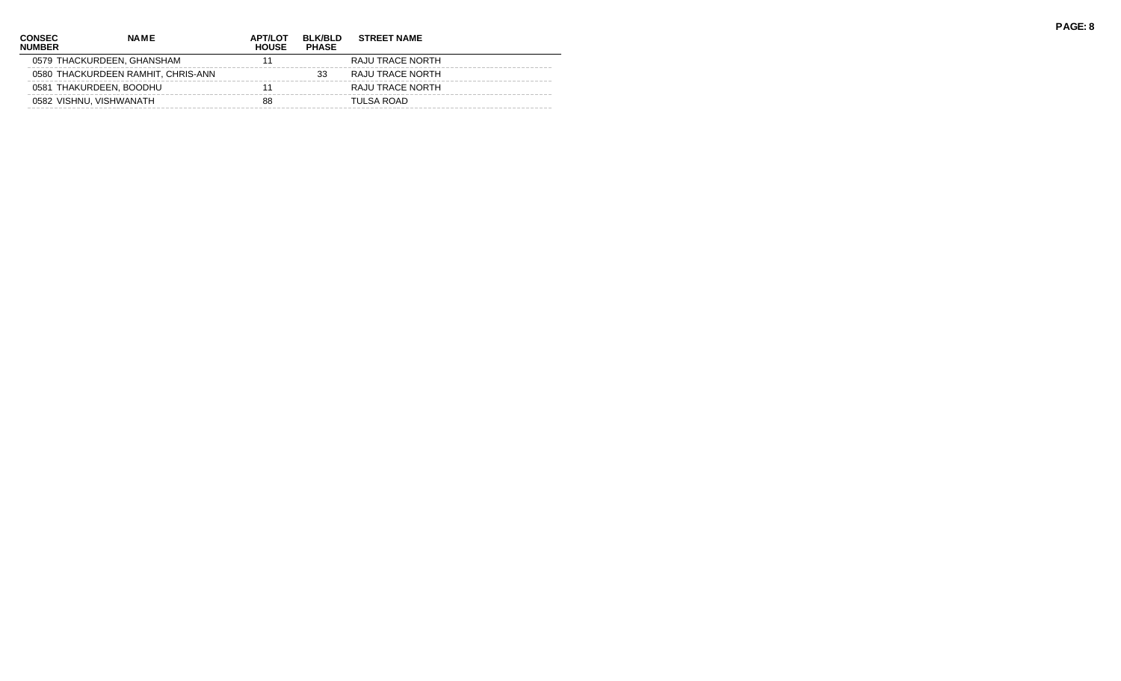| <b>CONSEC</b><br><b>NUMBER</b> | <b>NAME</b>                        | <b>APT/LOT</b><br><b>HOUSE</b> | <b>BLK/BLD</b><br><b>PHASE</b> | <b>STREET NAME</b> |  |
|--------------------------------|------------------------------------|--------------------------------|--------------------------------|--------------------|--|
|                                | 0579 THACKURDEEN, GHANSHAM         |                                |                                | RAJU TRACE NORTH   |  |
|                                | 0580 THACKURDEEN RAMHIT, CHRIS-ANN |                                | 33                             | RAJU TRACE NORTH   |  |
|                                | 0581 THAKURDEEN, BOODHU            |                                |                                | RAJU TRACE NORTH   |  |
| 0582 VISHNU, VISHWANATH        |                                    | 88                             |                                | TULSA ROAD         |  |